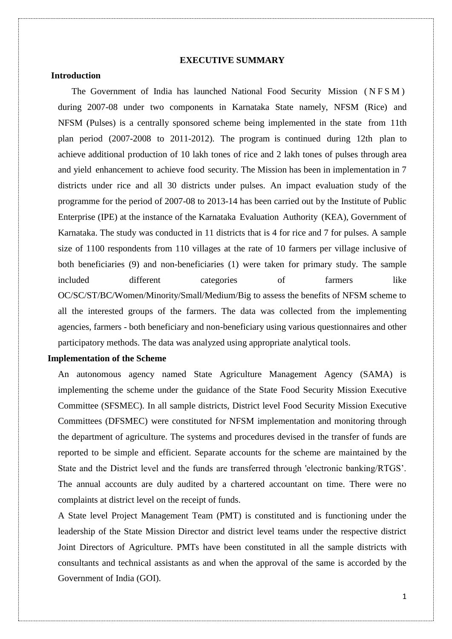### **EXECUTIVE SUMMARY**

## **Introduction**

The Government of India has launched National Food Security Mission (NFSM) during 2007-08 under two components in Karnataka State namely, NFSM (Rice) and NFSM (Pulses) is a centrally sponsored scheme being implemented in the state from 11th plan period (2007-2008 to 2011-2012). The program is continued during 12th plan to achieve additional production of 10 lakh tones of rice and 2 lakh tones of pulses through area and yield enhancement to achieve food security. The Mission has been in implementation in 7 districts under rice and all 30 districts under pulses. An impact evaluation study of the programme for the period of 2007-08 to 2013-14 has been carried out by the Institute of Public Enterprise (IPE) at the instance of the Karnataka Evaluation Authority (KEA), Government of Karnataka. The study was conducted in 11 districts that is 4 for rice and 7 for pulses. A sample size of 1100 respondents from 110 villages at the rate of 10 farmers per village inclusive of both beneficiaries (9) and non-beneficiaries (1) were taken for primary study. The sample included different categories of farmers like OC/SC/ST/BC/Women/Minority/Small/Medium/Big to assess the benefits of NFSM scheme to all the interested groups of the farmers. The data was collected from the implementing agencies, farmers - both beneficiary and non-beneficiary using various questionnaires and other participatory methods. The data was analyzed using appropriate analytical tools.

### **Implementation of the Scheme**

An autonomous agency named State Agriculture Management Agency (SAMA) is implementing the scheme under the guidance of the State Food Security Mission Executive Committee (SFSMEC). In all sample districts, District level Food Security Mission Executive Committees (DFSMEC) were constituted for NFSM implementation and monitoring through the department of agriculture. The systems and procedures devised in the transfer of funds are reported to be simple and efficient. Separate accounts for the scheme are maintained by the State and the District level and the funds are transferred through 'electronic banking/RTGS'. The annual accounts are duly audited by a chartered accountant on time. There were no complaints at district level on the receipt of funds.

A State level Project Management Team (PMT) is constituted and is functioning under the leadership of the State Mission Director and district level teams under the respective district Joint Directors of Agriculture. PMTs have been constituted in all the sample districts with consultants and technical assistants as and when the approval of the same is accorded by the Government of India (GOI).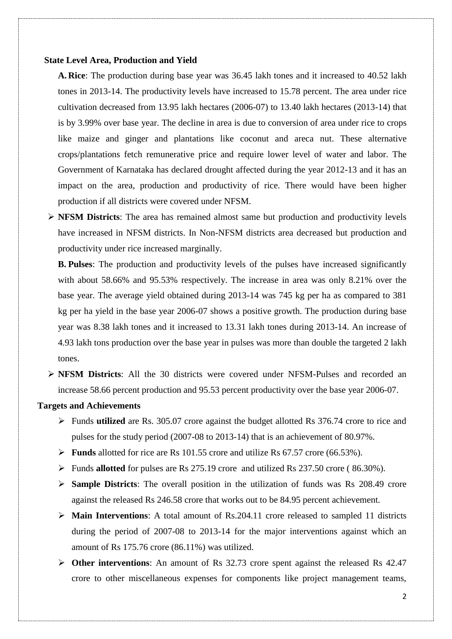### **State Level Area, Production and Yield**

**A. Rice**: The production during base year was 36.45 lakh tones and it increased to 40.52 lakh tones in 2013-14. The productivity levels have increased to 15.78 percent. The area under rice cultivation decreased from 13.95 lakh hectares (2006-07) to 13.40 lakh hectares (2013-14) that is by 3.99% over base year. The decline in area is due to conversion of area under rice to crops like maize and ginger and plantations like coconut and areca nut. These alternative crops/plantations fetch remunerative price and require lower level of water and labor. The Government of Karnataka has declared drought affected during the year 2012-13 and it has an impact on the area, production and productivity of rice. There would have been higher production if all districts were covered under NFSM.

 **NFSM Districts**: The area has remained almost same but production and productivity levels have increased in NFSM districts. In Non-NFSM districts area decreased but production and productivity under rice increased marginally.

**B. Pulses**: The production and productivity levels of the pulses have increased significantly with about 58.66% and 95.53% respectively. The increase in area was only 8.21% over the base year. The average yield obtained during 2013-14 was 745 kg per ha as compared to 381 kg per ha yield in the base year 2006-07 shows a positive growth. The production during base year was 8.38 lakh tones and it increased to 13.31 lakh tones during 2013-14. An increase of 4.93 lakh tons production over the base year in pulses was more than double the targeted 2 lakh tones.

 **NFSM Districts**: All the 30 districts were covered under NFSM-Pulses and recorded an increase 58.66 percent production and 95.53 percent productivity over the base year 2006-07.

### **Targets and Achievements**

- Funds **utilized** are Rs. 305.07 crore against the budget allotted Rs 376.74 crore to rice and pulses for the study period (2007-08 to 2013-14) that is an achievement of 80.97%.
- **Funds** allotted for rice are Rs 101.55 crore and utilize Rs 67.57 crore (66.53%).
- Funds **allotted** for pulses are Rs 275.19 crore and utilized Rs 237.50 crore ( 86.30%).
- **Sample Districts**: The overall position in the utilization of funds was Rs 208.49 crore against the released Rs 246.58 crore that works out to be 84.95 percent achievement.
- **Main Interventions**: A total amount of Rs.204.11 crore released to sampled 11 districts during the period of 2007-08 to 2013-14 for the major interventions against which an amount of Rs 175.76 crore (86.11%) was utilized.
- **Other interventions**: An amount of Rs 32.73 crore spent against the released Rs 42.47 crore to other miscellaneous expenses for components like project management teams,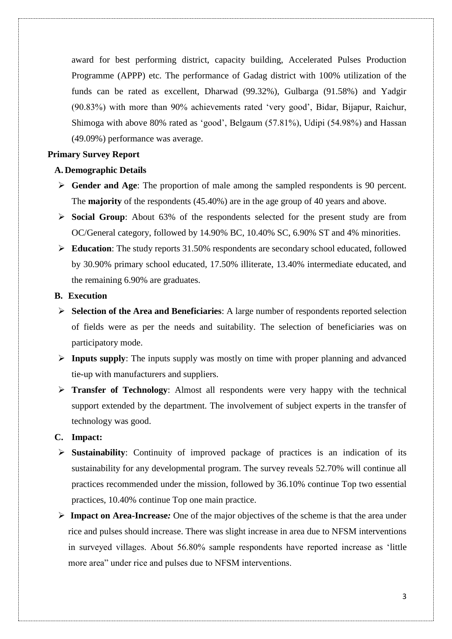award for best performing district, capacity building, Accelerated Pulses Production Programme (APPP) etc. The performance of Gadag district with 100% utilization of the funds can be rated as excellent, Dharwad (99.32%), Gulbarga (91.58%) and Yadgir (90.83%) with more than 90% achievements rated 'very good', Bidar, Bijapur, Raichur, Shimoga with above 80% rated as 'good', Belgaum (57.81%), Udipi (54.98%) and Hassan (49.09%) performance was average.

## **Primary Survey Report**

### **A. Demographic Details**

- **Gender and Age**: The proportion of male among the sampled respondents is 90 percent. The **majority** of the respondents (45.40%) are in the age group of 40 years and above.
- **Social Group**: About 63% of the respondents selected for the present study are from OC/General category, followed by 14.90% BC, 10.40% SC, 6.90% ST and 4% minorities.
- **Education**: The study reports 31.50% respondents are secondary school educated, followed by 30.90% primary school educated, 17.50% illiterate, 13.40% intermediate educated, and the remaining 6.90% are graduates.

## **B. Execution**

- **Selection of the Area and Beneficiaries**: A large number of respondents reported selection of fields were as per the needs and suitability. The selection of beneficiaries was on participatory mode.
- **Inputs supply**: The inputs supply was mostly on time with proper planning and advanced tie-up with manufacturers and suppliers.
- **Transfer of Technology**: Almost all respondents were very happy with the technical support extended by the department. The involvement of subject experts in the transfer of technology was good.

# **C. Impact:**

- **Sustainability**: Continuity of improved package of practices is an indication of its sustainability for any developmental program. The survey reveals 52.70% will continue all practices recommended under the mission, followed by 36.10% continue Top two essential practices, 10.40% continue Top one main practice.
- **Impact on Area-Increase***:* One of the major objectives of the scheme is that the area under rice and pulses should increase. There was slight increase in area due to NFSM interventions in surveyed villages. About 56.80% sample respondents have reported increase as 'little more area" under rice and pulses due to NFSM interventions.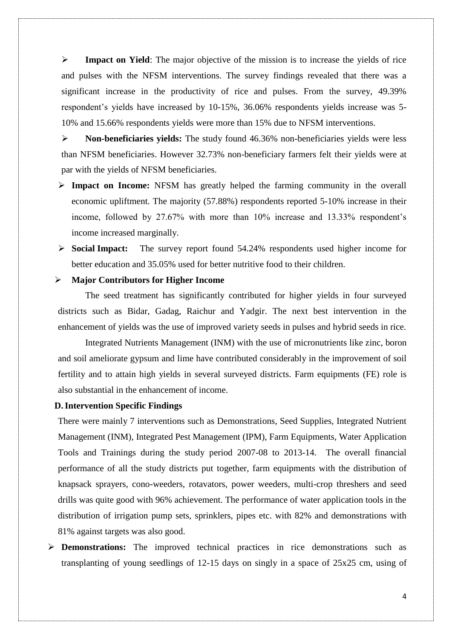**Impact on Yield**: The major objective of the mission is to increase the yields of rice and pulses with the NFSM interventions. The survey findings revealed that there was a significant increase in the productivity of rice and pulses. From the survey, 49.39% respondent's yields have increased by 10-15%, 36.06% respondents yields increase was 5- 10% and 15.66% respondents yields were more than 15% due to NFSM interventions.

 **Non-beneficiaries yields:** The study found 46.36% non-beneficiaries yields were less than NFSM beneficiaries. However 32.73% non-beneficiary farmers felt their yields were at par with the yields of NFSM beneficiaries.

- **Impact on Income:** NFSM has greatly helped the farming community in the overall economic upliftment. The majority (57.88%) respondents reported 5-10% increase in their income, followed by 27.67% with more than 10% increase and 13.33% respondent's income increased marginally.
- **Social Impact:** The survey report found 54.24% respondents used higher income for better education and 35.05% used for better nutritive food to their children.

### **Major Contributors for Higher Income**

The seed treatment has significantly contributed for higher yields in four surveyed districts such as Bidar, Gadag, Raichur and Yadgir. The next best intervention in the enhancement of yields was the use of improved variety seeds in pulses and hybrid seeds in rice.

Integrated Nutrients Management (INM) with the use of micronutrients like zinc, boron and soil ameliorate gypsum and lime have contributed considerably in the improvement of soil fertility and to attain high yields in several surveyed districts. Farm equipments (FE) role is also substantial in the enhancement of income.

### **D.Intervention Specific Findings**

There were mainly 7 interventions such as Demonstrations, Seed Supplies, Integrated Nutrient Management (INM), Integrated Pest Management (IPM), Farm Equipments, Water Application Tools and Trainings during the study period 2007-08 to 2013-14. The overall financial performance of all the study districts put together, farm equipments with the distribution of knapsack sprayers, cono-weeders, rotavators, power weeders, multi-crop threshers and seed drills was quite good with 96% achievement. The performance of water application tools in the distribution of irrigation pump sets, sprinklers, pipes etc. with 82% and demonstrations with 81% against targets was also good.

 **Demonstrations:** The improved technical practices in rice demonstrations such as transplanting of young seedlings of 12-15 days on singly in a space of 25x25 cm, using of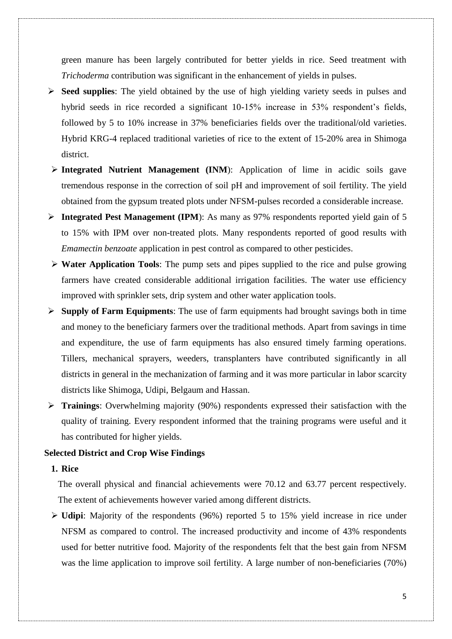green manure has been largely contributed for better yields in rice. Seed treatment with *Trichoderma* contribution was significant in the enhancement of yields in pulses.

- **Seed supplies**: The yield obtained by the use of high yielding variety seeds in pulses and hybrid seeds in rice recorded a significant 10-15% increase in 53% respondent's fields, followed by 5 to 10% increase in 37% beneficiaries fields over the traditional/old varieties. Hybrid KRG-4 replaced traditional varieties of rice to the extent of 15-20% area in Shimoga district.
- **Integrated Nutrient Management (INM):** Application of lime in acidic soils gave tremendous response in the correction of soil pH and improvement of soil fertility. The yield obtained from the gypsum treated plots under NFSM-pulses recorded a considerable increase.
- **Integrated Pest Management (IPM**): As many as 97% respondents reported yield gain of 5 to 15% with IPM over non-treated plots. Many respondents reported of good results with *Emamectin benzoate* application in pest control as compared to other pesticides.
- **Water Application Tools**: The pump sets and pipes supplied to the rice and pulse growing farmers have created considerable additional irrigation facilities. The water use efficiency improved with sprinkler sets, drip system and other water application tools.
- **Supply of Farm Equipments**: The use of farm equipments had brought savings both in time and money to the beneficiary farmers over the traditional methods. Apart from savings in time and expenditure, the use of farm equipments has also ensured timely farming operations. Tillers, mechanical sprayers, weeders, transplanters have contributed significantly in all districts in general in the mechanization of farming and it was more particular in labor scarcity districts like Shimoga, Udipi, Belgaum and Hassan.
- **Trainings**: Overwhelming majority (90%) respondents expressed their satisfaction with the quality of training. Every respondent informed that the training programs were useful and it has contributed for higher yields.

# **Selected District and Crop Wise Findings**

# **1. Rice**

The overall physical and financial achievements were 70.12 and 63.77 percent respectively. The extent of achievements however varied among different districts.

 **Udipi**: Majority of the respondents (96%) reported 5 to 15% yield increase in rice under NFSM as compared to control. The increased productivity and income of 43% respondents used for better nutritive food. Majority of the respondents felt that the best gain from NFSM was the lime application to improve soil fertility. A large number of non-beneficiaries (70%)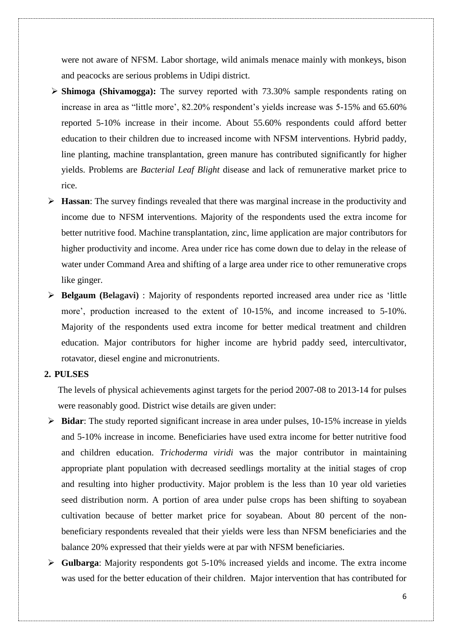were not aware of NFSM. Labor shortage, wild animals menace mainly with monkeys, bison and peacocks are serious problems in Udipi district.

- **Shimoga (Shivamogga):** The survey reported with 73.30% sample respondents rating on increase in area as "little more', 82.20% respondent's yields increase was 5-15% and 65.60% reported 5-10% increase in their income. About 55.60% respondents could afford better education to their children due to increased income with NFSM interventions. Hybrid paddy, line planting, machine transplantation, green manure has contributed significantly for higher yields. Problems are *Bacterial Leaf Blight* disease and lack of remunerative market price to rice.
- **Hassan**: The survey findings revealed that there was marginal increase in the productivity and income due to NFSM interventions. Majority of the respondents used the extra income for better nutritive food. Machine transplantation, zinc, lime application are major contributors for higher productivity and income. Area under rice has come down due to delay in the release of water under Command Area and shifting of a large area under rice to other remunerative crops like ginger.
- **Belgaum (Belagavi)** : Majority of respondents reported increased area under rice as 'little more', production increased to the extent of 10-15%, and income increased to 5-10%. Majority of the respondents used extra income for better medical treatment and children education. Major contributors for higher income are hybrid paddy seed, intercultivator, rotavator, diesel engine and micronutrients.

# **2. PULSES**

The levels of physical achievements aginst targets for the period 2007-08 to 2013-14 for pulses were reasonably good. District wise details are given under:

- **Bidar**: The study reported significant increase in area under pulses, 10-15% increase in yields and 5-10% increase in income. Beneficiaries have used extra income for better nutritive food and children education. *Trichoderma viridi* was the major contributor in maintaining appropriate plant population with decreased seedlings mortality at the initial stages of crop and resulting into higher productivity. Major problem is the less than 10 year old varieties seed distribution norm. A portion of area under pulse crops has been shifting to soyabean cultivation because of better market price for soyabean. About 80 percent of the nonbeneficiary respondents revealed that their yields were less than NFSM beneficiaries and the balance 20% expressed that their yields were at par with NFSM beneficiaries.
- **Gulbarga**: Majority respondents got 5-10% increased yields and income. The extra income was used for the better education of their children. Major intervention that has contributed for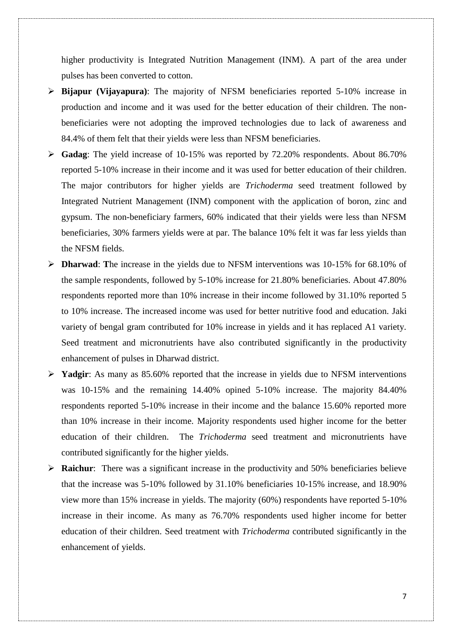higher productivity is Integrated Nutrition Management (INM). A part of the area under pulses has been converted to cotton.

- **Bijapur (Vijayapura)**: The majority of NFSM beneficiaries reported 5-10% increase in production and income and it was used for the better education of their children. The nonbeneficiaries were not adopting the improved technologies due to lack of awareness and 84.4% of them felt that their yields were less than NFSM beneficiaries.
- **Gadag**: The yield increase of 10-15% was reported by 72.20% respondents. About 86.70% reported 5-10% increase in their income and it was used for better education of their children. The major contributors for higher yields are *Trichoderma* seed treatment followed by Integrated Nutrient Management (INM) component with the application of boron, zinc and gypsum. The non-beneficiary farmers, 60% indicated that their yields were less than NFSM beneficiaries, 30% farmers yields were at par. The balance 10% felt it was far less yields than the NFSM fields.
- **Dharwad**: **T**he increase in the yields due to NFSM interventions was 10-15% for 68.10% of the sample respondents, followed by 5-10% increase for 21.80% beneficiaries. About 47.80% respondents reported more than 10% increase in their income followed by 31.10% reported 5 to 10% increase. The increased income was used for better nutritive food and education. Jaki variety of bengal gram contributed for 10% increase in yields and it has replaced A1 variety. Seed treatment and micronutrients have also contributed significantly in the productivity enhancement of pulses in Dharwad district.
- **Yadgir**: As many as 85.60% reported that the increase in yields due to NFSM interventions was 10-15% and the remaining 14.40% opined 5-10% increase. The majority 84.40% respondents reported 5-10% increase in their income and the balance 15.60% reported more than 10% increase in their income. Majority respondents used higher income for the better education of their children. The *Trichoderma* seed treatment and micronutrients have contributed significantly for the higher yields.
- **Raichur**: There was a significant increase in the productivity and 50% beneficiaries believe that the increase was 5-10% followed by 31.10% beneficiaries 10-15% increase, and 18.90% view more than 15% increase in yields. The majority (60%) respondents have reported 5-10% increase in their income. As many as 76.70% respondents used higher income for better education of their children. Seed treatment with *Trichoderma* contributed significantly in the enhancement of yields.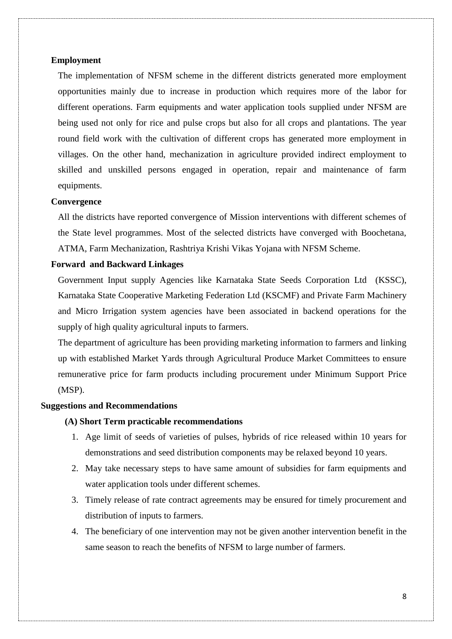### **Employment**

The implementation of NFSM scheme in the different districts generated more employment opportunities mainly due to increase in production which requires more of the labor for different operations. Farm equipments and water application tools supplied under NFSM are being used not only for rice and pulse crops but also for all crops and plantations. The year round field work with the cultivation of different crops has generated more employment in villages. On the other hand, mechanization in agriculture provided indirect employment to skilled and unskilled persons engaged in operation, repair and maintenance of farm equipments.

#### **Convergence**

All the districts have reported convergence of Mission interventions with different schemes of the State level programmes. Most of the selected districts have converged with Boochetana, ATMA, Farm Mechanization, Rashtriya Krishi Vikas Yojana with NFSM Scheme.

## **Forward and Backward Linkages**

Government Input supply Agencies like Karnataka State Seeds Corporation Ltd (KSSC), Karnataka State Cooperative Marketing Federation Ltd (KSCMF) and Private Farm Machinery and Micro Irrigation system agencies have been associated in backend operations for the supply of high quality agricultural inputs to farmers.

The department of agriculture has been providing marketing information to farmers and linking up with established Market Yards through Agricultural Produce Market Committees to ensure remunerative price for farm products including procurement under Minimum Support Price (MSP).

#### **Suggestions and Recommendations**

#### **(A) Short Term practicable recommendations**

- 1. Age limit of seeds of varieties of pulses, hybrids of rice released within 10 years for demonstrations and seed distribution components may be relaxed beyond 10 years.
- 2. May take necessary steps to have same amount of subsidies for farm equipments and water application tools under different schemes.
- 3. Timely release of rate contract agreements may be ensured for timely procurement and distribution of inputs to farmers.
- 4. The beneficiary of one intervention may not be given another intervention benefit in the same season to reach the benefits of NFSM to large number of farmers.